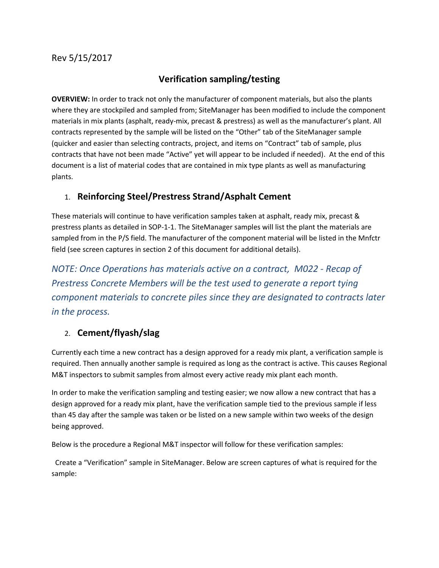### Rev 5/15/2017

# **Verification sampling/testing**

**OVERVIEW:** In order to track not only the manufacturer of component materials, but also the plants where they are stockpiled and sampled from; SiteManager has been modified to include the component materials in mix plants (asphalt, ready-mix, precast & prestress) as well as the manufacturer's plant. All contracts represented by the sample will be listed on the "Other" tab of the SiteManager sample (quicker and easier than selecting contracts, project, and items on "Contract" tab of sample, plus contracts that have not been made "Active" yet will appear to be included if needed). At the end of this document is a list of material codes that are contained in mix type plants as well as manufacturing plants.

# 1. **Reinforcing Steel/Prestress Strand/Asphalt Cement**

These materials will continue to have verification samples taken at asphalt, ready mix, precast & prestress plants as detailed in SOP-1-1. The SiteManager samples will list the plant the materials are sampled from in the P/S field. The manufacturer of the component material will be listed in the Mnfctr field (see screen captures in section 2 of this document for additional details).

*NOTE: Once Operations has materials active on a contract, M022 - Recap of Prestress Concrete Members will be the test used to generate a report tying component materials to concrete piles since they are designated to contracts later in the process.*

# 2. **Cement/flyash/slag**

Currently each time a new contract has a design approved for a ready mix plant, a verification sample is required. Then annually another sample is required as long as the contract is active. This causes Regional M&T inspectors to submit samples from almost every active ready mix plant each month.

In order to make the verification sampling and testing easier; we now allow a new contract that has a design approved for a ready mix plant, have the verification sample tied to the previous sample if less than 45 day after the sample was taken or be listed on a new sample within two weeks of the design being approved.

Below is the procedure a Regional M&T inspector will follow for these verification samples:

 Create a "Verification" sample in SiteManager. Below are screen captures of what is required for the sample: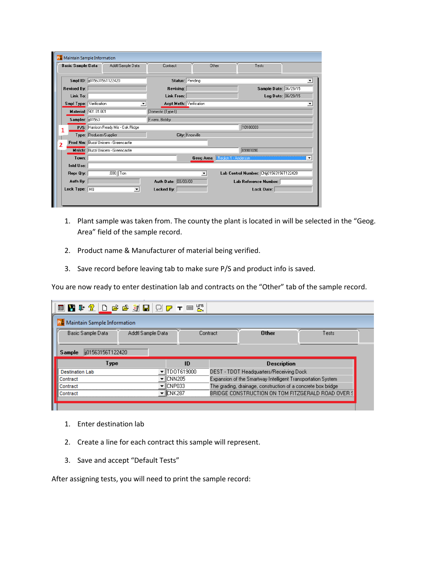|                         |                          | Basic Sample Data Addtl Sample Data | Contract                       | Other                | Tests                                   |                       |
|-------------------------|--------------------------|-------------------------------------|--------------------------------|----------------------|-----------------------------------------|-----------------------|
|                         | Smpl ID: 01563156T122420 |                                     |                                | Status: Pending      |                                         | ▼                     |
| <b>Revised By:</b>      |                          |                                     | Revising:                      |                      |                                         | Sample Date: 06/29/15 |
| Link To:                |                          |                                     | Link From:                     |                      |                                         | Log Date: 06/29/15    |
| Smpl Type: Verification |                          |                                     | <b>Acpt Meth: Verification</b> |                      |                                         | ▼                     |
|                         | Material: 901.01.001     |                                     | Domestic (Type I)              |                      |                                         |                       |
| Sampler:   101563       |                          |                                     | Evans, Bobby                   |                      |                                         |                       |
|                         |                          | P/S: Harrison Ready Mix - Oak Ridge |                                |                      | 10100003                                |                       |
|                         | Type: Producer/Supplier  |                                     |                                | City: Knoxville      |                                         |                       |
|                         |                          | Prod Nm: Buzzi Unicem - Greencastle |                                |                      |                                         |                       |
|                         |                          | Mnfetr: Buzzi Unicem - Greencastle  |                                |                      | 89901090                                |                       |
| Town:                   |                          |                                     |                                |                      | Geog Area: Fegion 1 - Anderson          |                       |
| Intd Use:               |                          |                                     |                                |                      |                                         |                       |
| Repr Qty:               |                          | $.000$ Ton                          |                                | $\blacktriangledown$ | Lab Control Number: CNij01563156T122420 |                       |
| Auth By:                |                          |                                     | Auth Date: 00/00/00            |                      | Lab Reference Number:                   |                       |
| Lock Type: HQ           |                          | ▼                                   | Locked By:                     |                      | Lock Date:                              |                       |

- 1. Plant sample was taken from. The county the plant is located in will be selected in the "Geog. Area" field of the sample record.
- 2. Product name & Manufacturer of material being verified.
- 3. Save record before leaving tab to make sure P/S and product info is saved.

You are now ready to enter destination lab and contracts on the "Other" tab of the sample record.

| Maintain Sample Information |                   |            |                                                              |       |  |  |
|-----------------------------|-------------------|------------|--------------------------------------------------------------|-------|--|--|
| Basic Sample Data           | Addtl Sample Data | Contract   | <b>Other</b>                                                 | Tests |  |  |
| li01563156T122420<br>Sample |                   |            |                                                              |       |  |  |
|                             |                   |            |                                                              |       |  |  |
| Type                        |                   | ID         | <b>Description</b>                                           |       |  |  |
| <b>Destination Lab</b>      |                   | TDOT619000 | DEST - TDOT Headquarters/Receiving Dock                      |       |  |  |
| Contract                    | ICNN205           |            | Expansion of the Smartway Intelligent Transportation System  |       |  |  |
| Contract                    | ICNP033           |            | The grading, drainage, construction of a concrete box bridge |       |  |  |

- 1. Enter destination lab
- 2. Create a line for each contract this sample will represent.
- 3. Save and accept "Default Tests"

After assigning tests, you will need to print the sample record: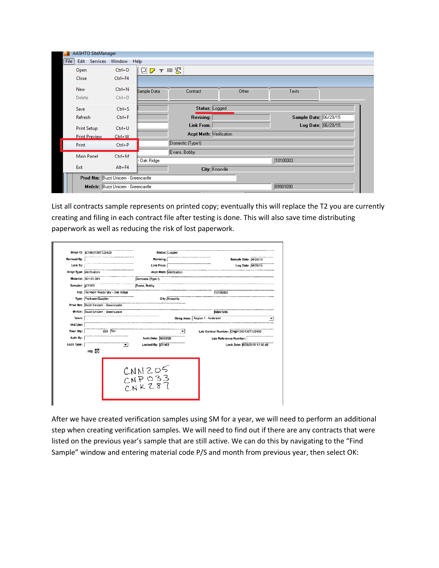|      | <b>AASHTO SiteManager</b>           |                                    |                                           |
|------|-------------------------------------|------------------------------------|-------------------------------------------|
| File | Edit Services Window                |                                    | Help                                      |
|      | Open                                | $Ctrl + O$                         | $Q \trianglerighteq \tau \equiv \Xi$      |
|      | Close                               | Ctrl+F4                            |                                           |
|      | New                                 | $Ctrl + N$                         | Sample Data<br>Other<br>Contract<br>Tests |
|      | Delete                              | $Ctrl + D$                         |                                           |
|      | Save                                | $Ctrl + S$                         | Status: Logged                            |
|      | Refresh                             | $Ctrl + F$                         | Sample Date: 06/29/15<br><b>Revising:</b> |
|      | <b>Print Setup</b>                  | $Ctrl + U$                         | Log Date: 06/29/15<br>Link From:          |
|      | <b>Print Preview</b>                | $Ctrl + W$                         | <b>Acpt Meth: Verification</b>            |
|      | Print                               | $Ctrl + P$                         | Domestic (Type I)                         |
|      | <b>Main Panel</b>                   | $Ctrl+M$                           | Evans, Bobby                              |
|      |                                     |                                    | 10100003<br>- Oak Ridge                   |
|      | Exit                                | $Alt + F4$                         | City: Knoxville                           |
|      | Prod Nm: Buzzi Unicem - Greencastle |                                    |                                           |
|      |                                     | Mnfctr: Buzzi Unicem - Greencastle | 89901090                                  |

List all contracts sample represents on printed copy; eventually this will replace the T2 you are currently creating and filing in each contract file after testing is done. This will also save time distributing paperwork as well as reducing the risk of lost paperwork.

|                         | Smpl ID: jj01563156T122420          |          |                                  | Status: Logged  |                                |                                         |
|-------------------------|-------------------------------------|----------|----------------------------------|-----------------|--------------------------------|-----------------------------------------|
| <b>Revised By:</b>      |                                     |          |                                  | Revising:       |                                | Sample Date: 06/29/15                   |
| Link To:                |                                     |          |                                  | Link From:      |                                | Log Date: 06/29/15                      |
| Smpl Type: Verification |                                     |          |                                  |                 | Acpt Meth: Verification        |                                         |
|                         | Material: 901.01.001                |          | Domestic (Type I)                |                 |                                |                                         |
| Sampler: 01563          |                                     |          | Evans, Bobby                     |                 |                                |                                         |
|                         | P/S: Harrison Ready Mix - Oak Ridge |          |                                  |                 |                                | 10100003                                |
|                         | Type: Producer/Supplier             |          |                                  | City: Knoxville |                                |                                         |
|                         | Prod Nm: Buzzi Unicem - Greencastle |          |                                  |                 |                                |                                         |
|                         | Mnfctr: Buzzi Unicem - Greencastle  |          |                                  |                 |                                | 89901090                                |
| Town:                   |                                     |          |                                  |                 | Geog Area: Region 1 - Anderson |                                         |
| Intd Use:               |                                     |          |                                  |                 |                                |                                         |
| Repr Qty:               |                                     | .000 Ton |                                  |                 |                                | Lab Control Number: CNjj01563156T122420 |
| Auth By:                |                                     |          | Auth Date: 00/00/00              |                 |                                | Lab Reference Number:                   |
| Lock Type:              |                                     |          | Locked By: (01563)               |                 |                                | Lock Date: 6/29/2015 12:30:45           |
|                         | HQ: $\boxtimes$                     |          |                                  |                 |                                |                                         |
|                         |                                     |          | $CNN205$<br>$CNP033$<br>$CNK287$ |                 |                                |                                         |

After we have created verification samples using SM for a year, we will need to perform an additional step when creating verification samples. We will need to find out if there are any contracts that were listed on the previous year's sample that are still active. We can do this by navigating to the "Find Sample" window and entering material code P/S and month from previous year, then select OK: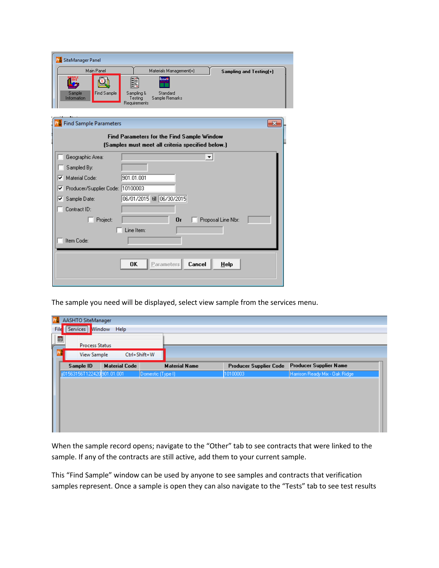| <b>PM</b> SiteManager Panel      |                                                    |
|----------------------------------|----------------------------------------------------|
| Main Panel                       | Materials Management(+)<br>Sampling and Testing(+) |
| inFö                             | Remark<br><b>II</b>                                |
| <b>Find Sample</b><br>Sample     | Sampling &<br>Standard                             |
| Information                      | Sample Remarks<br>Testing<br>Requirements          |
|                                  |                                                    |
| Find Sample Parameters           | $\overline{\mathbf{x}}$                            |
|                                  | Find Parameters for the Find Sample Window         |
|                                  | (Samples must meet all criteria specified below.)  |
| Geographic Area:                 | ▾                                                  |
| Sampled By:                      |                                                    |
| Material Code:<br>▿              | 901.01.001                                         |
| Producer/Supplier Code: 10100003 |                                                    |
| Sample Date:<br>⊽.               | 06/01/2015 till 06/30/2015                         |
| Contract ID:                     |                                                    |
| Project:                         | 0r<br>Proposal Line Nbr:                           |
|                                  | Line Item:                                         |
| Item Code:                       |                                                    |
|                                  |                                                    |
|                                  | 0K<br>Cancel<br>Parameters<br>Help                 |
|                                  |                                                    |

The sample you need will be displayed, select view sample from the services menu.

|                                         | AASHTO SiteManager           |                      |                      |                               |                                |  |
|-----------------------------------------|------------------------------|----------------------|----------------------|-------------------------------|--------------------------------|--|
| File                                    | Services Window Help         |                      |                      |                               |                                |  |
| $\blacksquare$<br><b>Process Status</b> |                              |                      |                      |                               |                                |  |
|                                         | <b>View Sample</b>           |                      | Ctrl+Shift+W         |                               |                                |  |
|                                         | Sample ID                    | <b>Material Code</b> | <b>Material Name</b> | <b>Producer Supplier Code</b> | <b>Producer Supplier Name</b>  |  |
|                                         | ii01563156T122420 901.01.001 |                      | Domestic (Type I)    | 10100003                      | Harrison Ready Mix - Oak Ridge |  |
|                                         |                              |                      |                      |                               |                                |  |
|                                         |                              |                      |                      |                               |                                |  |
|                                         |                              |                      |                      |                               |                                |  |
|                                         |                              |                      |                      |                               |                                |  |
|                                         |                              |                      |                      |                               |                                |  |
|                                         |                              |                      |                      |                               |                                |  |

When the sample record opens; navigate to the "Other" tab to see contracts that were linked to the sample. If any of the contracts are still active, add them to your current sample.

This "Find Sample" window can be used by anyone to see samples and contracts that verification samples represent. Once a sample is open they can also navigate to the "Tests" tab to see test results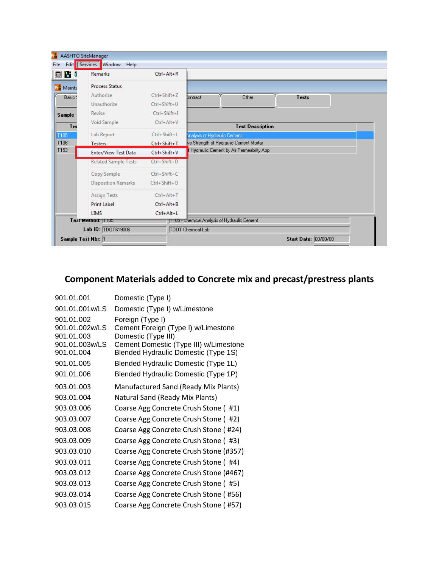| Pr                                        | AASHTO SiteManager               |                    |                                              |                      |  |
|-------------------------------------------|----------------------------------|--------------------|----------------------------------------------|----------------------|--|
| File                                      | Edit   Services   Window<br>Help |                    |                                              |                      |  |
| 画習明                                       | <b>Remarks</b>                   | $Ctrl + Alt + R$   |                                              |                      |  |
| <b>P</b> <sup>S</sup> <sub>M</sub> Mainta | <b>Process Status</b>            |                    |                                              |                      |  |
| Basic!                                    | Authorize                        | $Ctrl + Shift + Z$ | Other<br>Iontract                            | Tests                |  |
|                                           | Unauthorize                      | Ctrl+Shift+U       |                                              |                      |  |
| <b>Sample</b>                             | Revise                           | $Ctrl + Shift + I$ |                                              |                      |  |
| Te:                                       | Void Sample                      | $Ctrl + Alt + V$   | <b>Test Description</b>                      |                      |  |
| T105                                      | Lab Report                       | Ctrl+Shift+L       | Analysis of Hydraulic Cement                 |                      |  |
| T106                                      | Testers                          | Ctrl+Shift+T       | ve Strength of Hydraulic Cement Mortar       |                      |  |
| T153                                      | Enter/View Test Data             | Ctrl+Shift+V       | Hydraulic Cement by Air Permeability App     |                      |  |
|                                           | <b>Related Sample Tests</b>      | Ctrl+Shift+D       |                                              |                      |  |
|                                           | Copy Sample                      | Ctrl+Shift+C       |                                              |                      |  |
|                                           | <b>Disposition Remarks</b>       | Ctrl+Shift+O       |                                              |                      |  |
|                                           | <b>Assign Tests</b>              | $Ctrl + Alt + T$   |                                              |                      |  |
|                                           | <b>Print Label</b>               | $Ctrl + Alt + B$   |                                              |                      |  |
|                                           | <b>LIMS</b>                      | Ctrl+Alt+L         |                                              |                      |  |
|                                           | Test Method: 1105                |                    | TTU5 - Chemical Analysis of Hydraulic Cement |                      |  |
|                                           | Lab ID: TD0T619006               |                    | TDOT Chemical Lab                            |                      |  |
| Sample Test Nbr: 1                        |                                  |                    |                                              | Start Date: 00/00/00 |  |

# **Component Materials added to Concrete mix and precast/prestress plants**

| 901.01.001                                                                 | Domestic (Type I)                                                                                                                                                |
|----------------------------------------------------------------------------|------------------------------------------------------------------------------------------------------------------------------------------------------------------|
| 901.01.001w/LS                                                             | Domestic (Type I) w/Limestone                                                                                                                                    |
| 901.01.002<br>901.01.002w/LS<br>901.01.003<br>901.01.003w/LS<br>901.01.004 | Foreign (Type I)<br>Cement Foreign (Type I) w/Limestone<br>Domestic (Type III)<br>Cement Domestic (Type III) w/Limestone<br>Blended Hydraulic Domestic (Type 1S) |
| 901.01.005                                                                 | Blended Hydraulic Domestic (Type 1L)                                                                                                                             |
| 901.01.006                                                                 | Blended Hydraulic Domestic (Type 1P)                                                                                                                             |
| 903.01.003                                                                 | Manufactured Sand (Ready Mix Plants)                                                                                                                             |
| 903.01.004                                                                 | Natural Sand (Ready Mix Plants)                                                                                                                                  |
| 903.03.006                                                                 | Coarse Agg Concrete Crush Stone (#1)                                                                                                                             |
| 903.03.007                                                                 | Coarse Agg Concrete Crush Stone (#2)                                                                                                                             |
| 903.03.008                                                                 | Coarse Agg Concrete Crush Stone (#24)                                                                                                                            |
| 903.03.009                                                                 | Coarse Agg Concrete Crush Stone (#3)                                                                                                                             |
| 903.03.010                                                                 | Coarse Agg Concrete Crush Stone (#357)                                                                                                                           |
| 903.03.011                                                                 | Coarse Agg Concrete Crush Stone (#4)                                                                                                                             |
| 903.03.012                                                                 | Coarse Agg Concrete Crush Stone (#467)                                                                                                                           |
| 903.03.013                                                                 | Coarse Agg Concrete Crush Stone (#5)                                                                                                                             |
| 903.03.014                                                                 | Coarse Agg Concrete Crush Stone (#56)                                                                                                                            |
| 903.03.015                                                                 | Coarse Agg Concrete Crush Stone (#57)                                                                                                                            |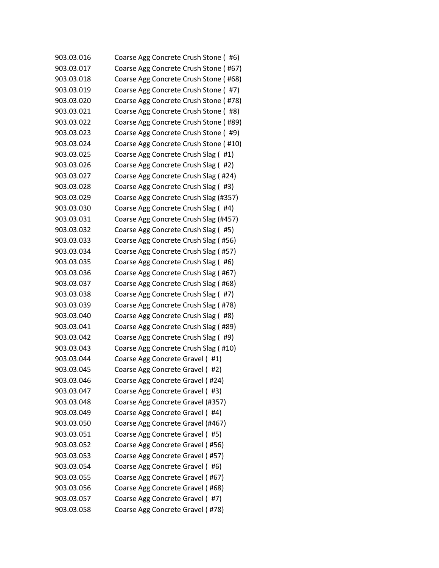| 903.03.016 | Coarse Agg Concrete Crush Stone (#6)  |
|------------|---------------------------------------|
| 903.03.017 | Coarse Agg Concrete Crush Stone (#67) |
| 903.03.018 | Coarse Agg Concrete Crush Stone (#68) |
| 903.03.019 | Coarse Agg Concrete Crush Stone (#7)  |
| 903.03.020 | Coarse Agg Concrete Crush Stone (#78) |
| 903.03.021 | Coarse Agg Concrete Crush Stone (#8)  |
| 903.03.022 | Coarse Agg Concrete Crush Stone (#89) |
| 903.03.023 | Coarse Agg Concrete Crush Stone (#9)  |
| 903.03.024 | Coarse Agg Concrete Crush Stone (#10) |
| 903.03.025 | Coarse Agg Concrete Crush Slag (#1)   |
| 903.03.026 | Coarse Agg Concrete Crush Slag (#2)   |
| 903.03.027 | Coarse Agg Concrete Crush Slag (#24)  |
| 903.03.028 | Coarse Agg Concrete Crush Slag (#3)   |
| 903.03.029 | Coarse Agg Concrete Crush Slag (#357) |
| 903.03.030 | Coarse Agg Concrete Crush Slag (#4)   |
| 903.03.031 | Coarse Agg Concrete Crush Slag (#457) |
| 903.03.032 | Coarse Agg Concrete Crush Slag (#5)   |
| 903.03.033 | Coarse Agg Concrete Crush Slag (#56)  |
| 903.03.034 | Coarse Agg Concrete Crush Slag (#57)  |
| 903.03.035 | Coarse Agg Concrete Crush Slag (#6)   |
| 903.03.036 | Coarse Agg Concrete Crush Slag (#67)  |
| 903.03.037 | Coarse Agg Concrete Crush Slag (#68)  |
| 903.03.038 | Coarse Agg Concrete Crush Slag (#7)   |
| 903.03.039 | Coarse Agg Concrete Crush Slag (#78)  |
| 903.03.040 | Coarse Agg Concrete Crush Slag (#8)   |
| 903.03.041 | Coarse Agg Concrete Crush Slag (#89)  |
| 903.03.042 | Coarse Agg Concrete Crush Slag (#9)   |
| 903.03.043 | Coarse Agg Concrete Crush Slag (#10)  |
| 903.03.044 | Coarse Agg Concrete Gravel (#1)       |
| 903.03.045 | Coarse Agg Concrete Gravel (#2)       |
| 903.03.046 | Coarse Agg Concrete Gravel (#24)      |
| 903.03.047 | Coarse Agg Concrete Gravel (#3)       |
| 903.03.048 | Coarse Agg Concrete Gravel (#357)     |
| 903.03.049 | Coarse Agg Concrete Gravel (#4)       |
| 903.03.050 | Coarse Agg Concrete Gravel (#467)     |
| 903.03.051 | Coarse Agg Concrete Gravel (#5)       |
| 903.03.052 | Coarse Agg Concrete Gravel (#56)      |
| 903.03.053 | Coarse Agg Concrete Gravel (#57)      |
| 903.03.054 | Coarse Agg Concrete Gravel (#6)       |
| 903.03.055 | Coarse Agg Concrete Gravel (#67)      |
| 903.03.056 | Coarse Agg Concrete Gravel (#68)      |
| 903.03.057 | Coarse Agg Concrete Gravel (#7)       |
| 903.03.058 | Coarse Agg Concrete Gravel (#78)      |